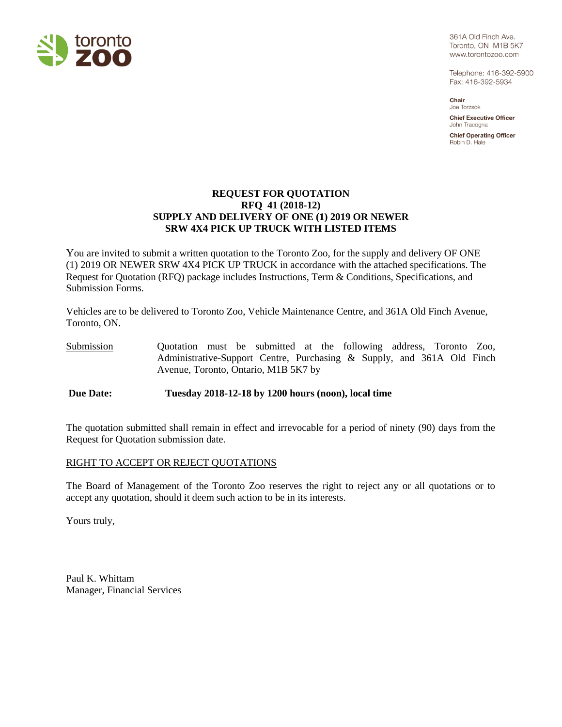

361A Old Finch Ave. Toronto, ON M1B 5K7 www.torontozoo.com

Telephone: 416-392-5900 Fax: 416-392-5934

Chair Joe Torzsok

**Chief Executive Officer** John Tracogna

**Chief Operating Officer** Robin D. Hale

### **REQUEST FOR QUOTATION RFQ 41 (2018-12) SUPPLY AND DELIVERY OF ONE (1) 2019 OR NEWER SRW 4X4 PICK UP TRUCK WITH LISTED ITEMS**

You are invited to submit a written quotation to the Toronto Zoo, for the supply and delivery OF ONE (1) 2019 OR NEWER SRW 4X4 PICK UP TRUCK in accordance with the attached specifications. The Request for Quotation (RFQ) package includes Instructions, Term & Conditions, Specifications, and Submission Forms.

Vehicles are to be delivered to Toronto Zoo, Vehicle Maintenance Centre, and 361A Old Finch Avenue, Toronto, ON.

Submission Quotation must be submitted at the following address, Toronto Zoo, Administrative-Support Centre, Purchasing & Supply, and 361A Old Finch Avenue, Toronto, Ontario, M1B 5K7 by

**Due Date: Tuesday 2018-12-18 by 1200 hours (noon), local time**

The quotation submitted shall remain in effect and irrevocable for a period of ninety (90) days from the Request for Quotation submission date.

### RIGHT TO ACCEPT OR REJECT QUOTATIONS

The Board of Management of the Toronto Zoo reserves the right to reject any or all quotations or to accept any quotation, should it deem such action to be in its interests.

Yours truly,

Paul K. Whittam Manager, Financial Services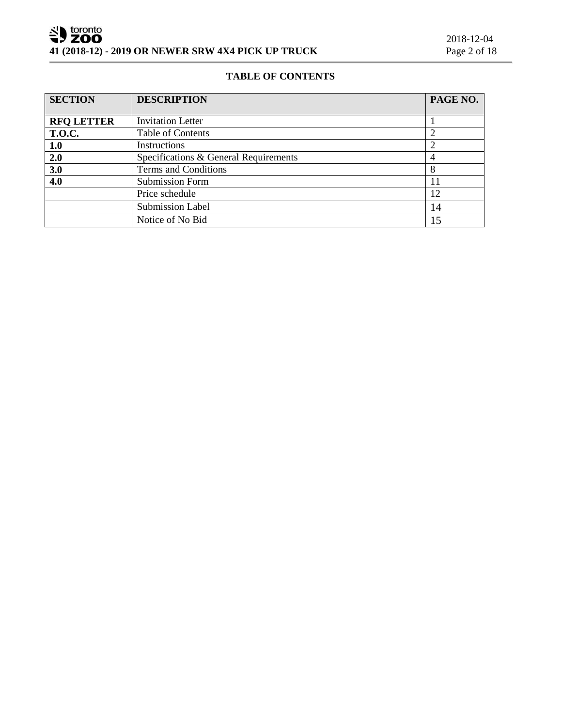# **TABLE OF CONTENTS**

| <b>SECTION</b>    | <b>DESCRIPTION</b>                    | PAGE NO. |
|-------------------|---------------------------------------|----------|
|                   |                                       |          |
| <b>RFQ LETTER</b> | <b>Invitation Letter</b>              |          |
| <b>T.O.C.</b>     | Table of Contents                     |          |
| 1.0               | Instructions                          |          |
| 2.0               | Specifications & General Requirements |          |
| 3.0               | Terms and Conditions                  | 8        |
| 4.0               | <b>Submission Form</b>                | 11       |
|                   | Price schedule                        | 12       |
|                   | <b>Submission Label</b>               | 14       |
|                   | Notice of No Bid                      | 15       |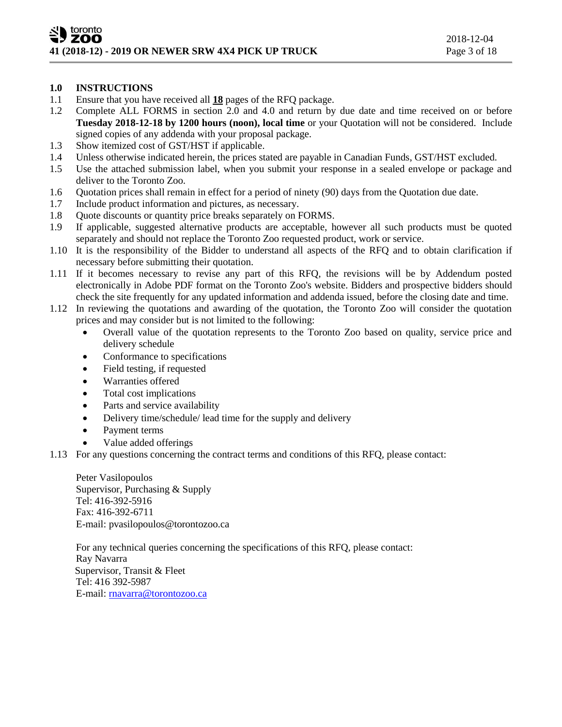### **1.0 INSTRUCTIONS**

- 1.1 Ensure that you have received all **18** pages of the RFQ package.
- 1.2 Complete ALL FORMS in section 2.0 and 4.0 and return by due date and time received on or before **Tuesday 2018-12-18 by 1200 hours (noon), local time** or your Quotation will not be considered. Include signed copies of any addenda with your proposal package.
- 1.3 Show itemized cost of GST/HST if applicable.
- 1.4 Unless otherwise indicated herein, the prices stated are payable in Canadian Funds, GST/HST excluded.
- 1.5 Use the attached submission label, when you submit your response in a sealed envelope or package and deliver to the Toronto Zoo.
- 1.6 Quotation prices shall remain in effect for a period of ninety (90) days from the Quotation due date.
- 1.7 Include product information and pictures, as necessary.
- 1.8 Quote discounts or quantity price breaks separately on FORMS.
- 1.9 If applicable, suggested alternative products are acceptable, however all such products must be quoted separately and should not replace the Toronto Zoo requested product, work or service.
- 1.10 It is the responsibility of the Bidder to understand all aspects of the RFQ and to obtain clarification if necessary before submitting their quotation.
- 1.11 If it becomes necessary to revise any part of this RFQ, the revisions will be by Addendum posted electronically in Adobe PDF format on the Toronto Zoo's website. Bidders and prospective bidders should check the site frequently for any updated information and addenda issued, before the closing date and time.
- 1.12 In reviewing the quotations and awarding of the quotation, the Toronto Zoo will consider the quotation prices and may consider but is not limited to the following:
	- Overall value of the quotation represents to the Toronto Zoo based on quality, service price and delivery schedule
	- Conformance to specifications
	- Field testing, if requested
	- Warranties offered
	- Total cost implications
	- Parts and service availability
	- Delivery time/schedule/ lead time for the supply and delivery
	- Payment terms
	- Value added offerings
- 1.13 For any questions concerning the contract terms and conditions of this RFQ, please contact:

Peter Vasilopoulos Supervisor, Purchasing & Supply Tel: 416-392-5916 Fax: 416-392-6711 E-mail: pvasilopoulos@torontozoo.ca

For any technical queries concerning the specifications of this RFQ, please contact: Ray Navarra Supervisor, Transit & Fleet Tel: 416 392-5987 E-mail: mavarra@torontozoo.ca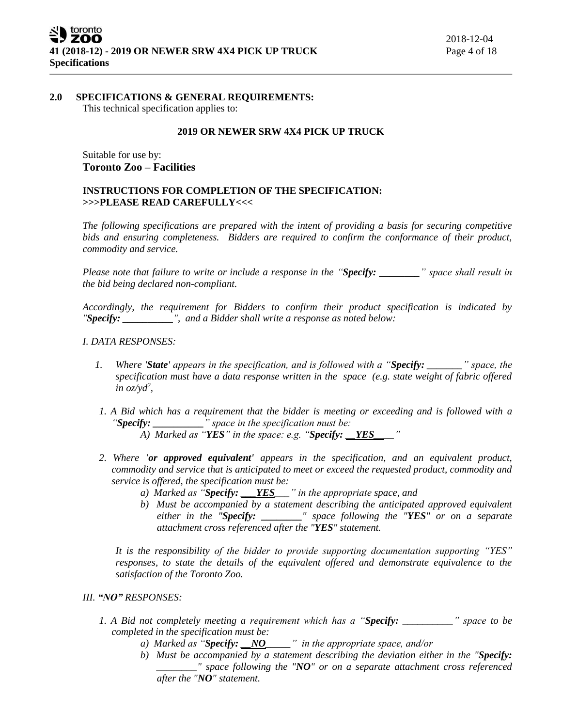#### **2.0 SPECIFICATIONS & GENERAL REQUIREMENTS:**

This technical specification applies to:

### **2019 OR NEWER SRW 4X4 PICK UP TRUCK**

Suitable for use by: **Toronto Zoo – Facilities**

### **INSTRUCTIONS FOR COMPLETION OF THE SPECIFICATION: >>>PLEASE READ CAREFULLY<<<**

*The following specifications are prepared with the intent of providing a basis for securing competitive bids and ensuring completeness. Bidders are required to confirm the conformance of their product, commodity and service.*

*Please note that failure to write or include a response in the "Specify: \_\_\_\_\_\_\_\_" space shall result in the bid being declared non-compliant.*

*Accordingly, the requirement for Bidders to confirm their product specification is indicated by "Specify: \_\_\_\_\_\_\_\_\_\_", and a Bidder shall write a response as noted below:* 

#### *I. DATA RESPONSES:*

- *1. Where 'State' appears in the specification, and is followed with a "Specify: \_\_\_\_\_\_\_" space, the specification must have a data response written in the space (e.g. state weight of fabric offered in oz/yd<sup>2</sup> ,*
- *1. A Bid which has a requirement that the bidder is meeting or exceeding and is followed with a "Specify: \_\_\_\_\_\_\_\_\_\_" space in the specification must be:*

*A) Marked as "YES" in the space: e.g. "Specify: \_\_YES\_\_\_\_"* 

- *2. Where 'or approved equivalent' appears in the specification, and an equivalent product, commodity and service that is anticipated to meet or exceed the requested product, commodity and service is offered, the specification must be:*
	- *a) Marked as "Specify: \_\_\_YES\_\_\_" in the appropriate space, and*
	- *b) Must be accompanied by a statement describing the anticipated approved equivalent either in the "Specify: \_\_\_\_\_\_\_\_" space following the "YES" or on a separate attachment cross referenced after the "YES" statement.*

*It is the responsibility of the bidder to provide supporting documentation supporting "YES" responses, to state the details of the equivalent offered and demonstrate equivalence to the satisfaction of the Toronto Zoo.* 

### *III. "NO" RESPONSES:*

- *1. A Bid not completely meeting a requirement which has a "Specify: \_\_\_\_\_\_\_\_\_\_" space to be completed in the specification must be:*
	- *a) Marked as "Specify: \_\_NO\_\_\_\_\_" in the appropriate space, and/or*
	- *b) Must be accompanied by a statement describing the deviation either in the "Specify: \_\_\_\_\_\_\_\_" space following the "NO" or on a separate attachment cross referenced after the "NO" statement.*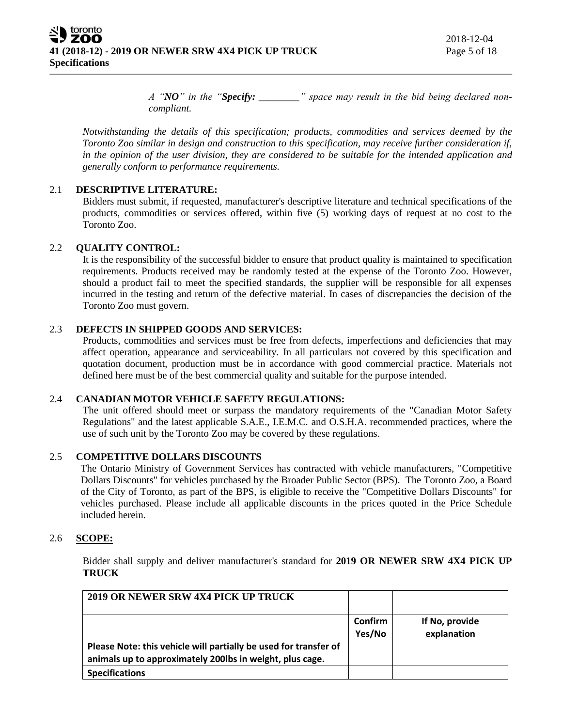*A "NO" in the "Specify: \_\_\_\_\_\_\_\_" space may result in the bid being declared noncompliant.* 

*Notwithstanding the details of this specification; products, commodities and services deemed by the Toronto Zoo similar in design and construction to this specification, may receive further consideration if, in the opinion of the user division, they are considered to be suitable for the intended application and generally conform to performance requirements.*

## 2.1 **DESCRIPTIVE LITERATURE:**

Bidders must submit, if requested, manufacturer's descriptive literature and technical specifications of the products, commodities or services offered, within five (5) working days of request at no cost to the Toronto Zoo.

## 2.2 **QUALITY CONTROL:**

It is the responsibility of the successful bidder to ensure that product quality is maintained to specification requirements. Products received may be randomly tested at the expense of the Toronto Zoo. However, should a product fail to meet the specified standards, the supplier will be responsible for all expenses incurred in the testing and return of the defective material. In cases of discrepancies the decision of the Toronto Zoo must govern.

## 2.3 **DEFECTS IN SHIPPED GOODS AND SERVICES:**

Products, commodities and services must be free from defects, imperfections and deficiencies that may affect operation, appearance and serviceability. In all particulars not covered by this specification and quotation document, production must be in accordance with good commercial practice. Materials not defined here must be of the best commercial quality and suitable for the purpose intended.

### 2.4 **CANADIAN MOTOR VEHICLE SAFETY REGULATIONS:**

The unit offered should meet or surpass the mandatory requirements of the "Canadian Motor Safety Regulations" and the latest applicable S.A.E., I.E.M.C. and O.S.H.A. recommended practices, where the use of such unit by the Toronto Zoo may be covered by these regulations.

### 2.5 **COMPETITIVE DOLLARS DISCOUNTS**

The Ontario Ministry of Government Services has contracted with vehicle manufacturers, "Competitive Dollars Discounts" for vehicles purchased by the Broader Public Sector (BPS). The Toronto Zoo, a Board of the City of Toronto, as part of the BPS, is eligible to receive the "Competitive Dollars Discounts" for vehicles purchased. Please include all applicable discounts in the prices quoted in the Price Schedule included herein.

### 2.6 **SCOPE:**

Bidder shall supply and deliver manufacturer's standard for **2019 OR NEWER SRW 4X4 PICK UP TRUCK** 

| 2019 OR NEWER SRW 4X4 PICK UP TRUCK                              |         |                |
|------------------------------------------------------------------|---------|----------------|
|                                                                  | Confirm | If No, provide |
|                                                                  | Yes/No  | explanation    |
| Please Note: this vehicle will partially be used for transfer of |         |                |
| animals up to approximately 200lbs in weight, plus cage.         |         |                |
| <b>Specifications</b>                                            |         |                |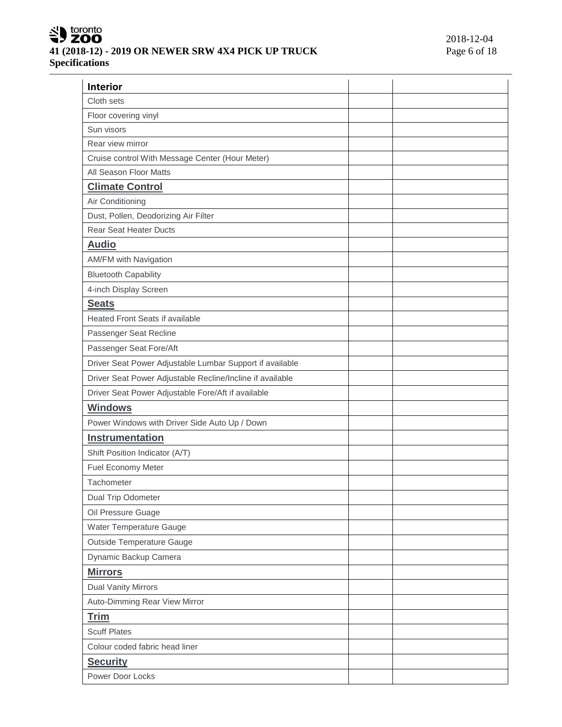# SU toronto **41 (2018-12) - 2019 OR NEWER SRW 4X4 PICK UP TRUCK Specifications**

| <b>Interior</b>                                           |  |
|-----------------------------------------------------------|--|
| Cloth sets                                                |  |
| Floor covering vinyl                                      |  |
| Sun visors                                                |  |
| Rear view mirror                                          |  |
| Cruise control With Message Center (Hour Meter)           |  |
| All Season Floor Matts                                    |  |
| <b>Climate Control</b>                                    |  |
| Air Conditioning                                          |  |
| Dust, Pollen, Deodorizing Air Filter                      |  |
| <b>Rear Seat Heater Ducts</b>                             |  |
| <b>Audio</b>                                              |  |
| <b>AM/FM with Navigation</b>                              |  |
| <b>Bluetooth Capability</b>                               |  |
| 4-inch Display Screen                                     |  |
| <b>Seats</b>                                              |  |
| <b>Heated Front Seats if available</b>                    |  |
| Passenger Seat Recline                                    |  |
| Passenger Seat Fore/Aft                                   |  |
| Driver Seat Power Adjustable Lumbar Support if available  |  |
| Driver Seat Power Adjustable Recline/Incline if available |  |
| Driver Seat Power Adjustable Fore/Aft if available        |  |
| <b>Windows</b>                                            |  |
| Power Windows with Driver Side Auto Up / Down             |  |
| Instrumentation                                           |  |
| Shift Position Indicator (A/T)                            |  |
| Fuel Economy Meter                                        |  |
| Tachometer                                                |  |
| Dual Trip Odometer                                        |  |
| Oil Pressure Guage                                        |  |
| Water Temperature Gauge                                   |  |
| Outside Temperature Gauge                                 |  |
| Dynamic Backup Camera                                     |  |
| <b>Mirrors</b>                                            |  |
| Dual Vanity Mirrors                                       |  |
| Auto-Dimming Rear View Mirror                             |  |
| <b>Trim</b>                                               |  |
| <b>Scuff Plates</b>                                       |  |
| Colour coded fabric head liner                            |  |
| <b>Security</b>                                           |  |
| Power Door Locks                                          |  |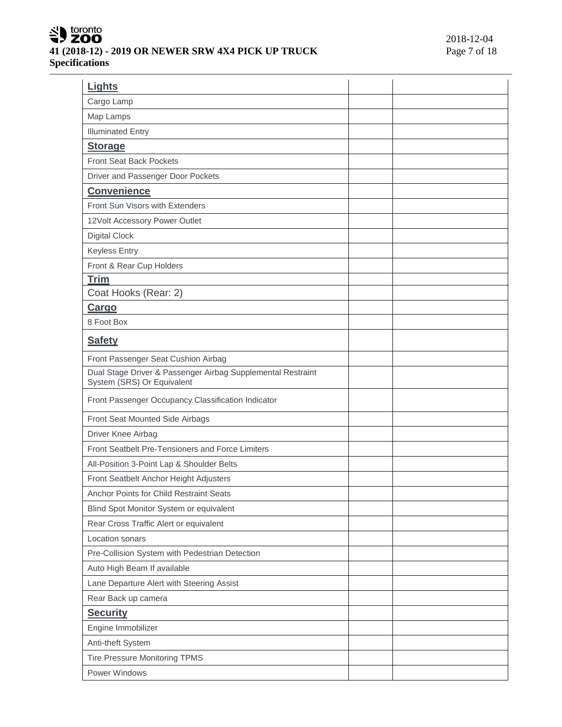# SU toronto **41 (2018-12) - 2019 OR NEWER SRW 4X4 PICK UP TRUCK Specifications**

| Lights                                                                                    |  |
|-------------------------------------------------------------------------------------------|--|
| Cargo Lamp                                                                                |  |
| Map Lamps                                                                                 |  |
| <b>Illuminated Entry</b>                                                                  |  |
| <b>Storage</b>                                                                            |  |
| <b>Front Seat Back Pockets</b>                                                            |  |
| Driver and Passenger Door Pockets                                                         |  |
| <b>Convenience</b>                                                                        |  |
| Front Sun Visors with Extenders                                                           |  |
| 12Volt Accessory Power Outlet                                                             |  |
| <b>Digital Clock</b>                                                                      |  |
| <b>Keyless Entry</b>                                                                      |  |
| Front & Rear Cup Holders                                                                  |  |
| <b>Trim</b>                                                                               |  |
| Coat Hooks (Rear: 2)                                                                      |  |
| Cargo                                                                                     |  |
| 8 Foot Box                                                                                |  |
| <b>Safety</b>                                                                             |  |
| Front Passenger Seat Cushion Airbag                                                       |  |
| Dual Stage Driver & Passenger Airbag Supplemental Restraint<br>System (SRS) Or Equivalent |  |
| Front Passenger Occupancy Classification Indicator                                        |  |
| Front Seat Mounted Side Airbags                                                           |  |
| Driver Knee Airbag                                                                        |  |
| Front Seatbelt Pre-Tensioners and Force Limiters                                          |  |
| All-Position 3-Point Lap & Shoulder Belts                                                 |  |
| Front Seatbelt Anchor Height Adjusters                                                    |  |
| Anchor Points for Child Restraint Seats                                                   |  |
| Blind Spot Monitor System or equivalent                                                   |  |
| Rear Cross Traffic Alert or equivalent                                                    |  |
| Location sonars                                                                           |  |
| Pre-Collision System with Pedestrian Detection                                            |  |
| Auto High Beam If available                                                               |  |
| Lane Departure Alert with Steering Assist                                                 |  |
| Rear Back up camera                                                                       |  |
| <b>Security</b>                                                                           |  |
| Engine Immobilizer                                                                        |  |
| Anti-theft System                                                                         |  |
| <b>Tire Pressure Monitoring TPMS</b>                                                      |  |
| Power Windows                                                                             |  |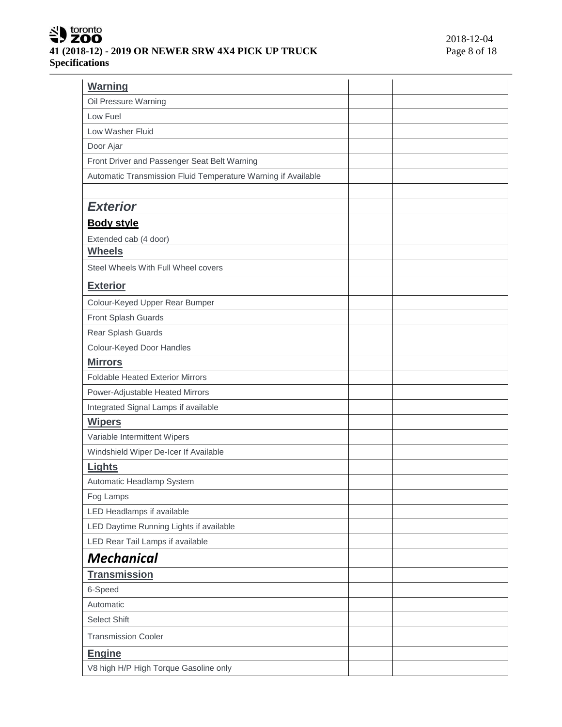# SU toronto **41 (2018-12) - 2019 OR NEWER SRW 4X4 PICK UP TRUCK Specifications**

| Warning                                                       |  |
|---------------------------------------------------------------|--|
| Oil Pressure Warning                                          |  |
| Low Fuel                                                      |  |
| Low Washer Fluid                                              |  |
| Door Ajar                                                     |  |
| Front Driver and Passenger Seat Belt Warning                  |  |
| Automatic Transmission Fluid Temperature Warning if Available |  |
|                                                               |  |
| <b>Exterior</b>                                               |  |
| <b>Body style</b>                                             |  |
| Extended cab (4 door)                                         |  |
| <b>Wheels</b>                                                 |  |
| Steel Wheels With Full Wheel covers                           |  |
| <b>Exterior</b>                                               |  |
| Colour-Keyed Upper Rear Bumper                                |  |
| Front Splash Guards                                           |  |
| Rear Splash Guards                                            |  |
| Colour-Keyed Door Handles                                     |  |
| <b>Mirrors</b>                                                |  |
| <b>Foldable Heated Exterior Mirrors</b>                       |  |
| Power-Adjustable Heated Mirrors                               |  |
| Integrated Signal Lamps if available                          |  |
| <b>Wipers</b>                                                 |  |
| Variable Intermittent Wipers                                  |  |
| Windshield Wiper De-Icer If Available                         |  |
| <b>Lights</b>                                                 |  |
| Automatic Headlamp System                                     |  |
| Fog Lamps                                                     |  |
| LED Headlamps if available                                    |  |
| LED Daytime Running Lights if available                       |  |
| LED Rear Tail Lamps if available                              |  |
| <b>Mechanical</b>                                             |  |
| <b>Transmission</b>                                           |  |
| 6-Speed                                                       |  |
| Automatic                                                     |  |
| Select Shift                                                  |  |
| <b>Transmission Cooler</b>                                    |  |
| <b>Engine</b>                                                 |  |
| V8 high H/P High Torque Gasoline only                         |  |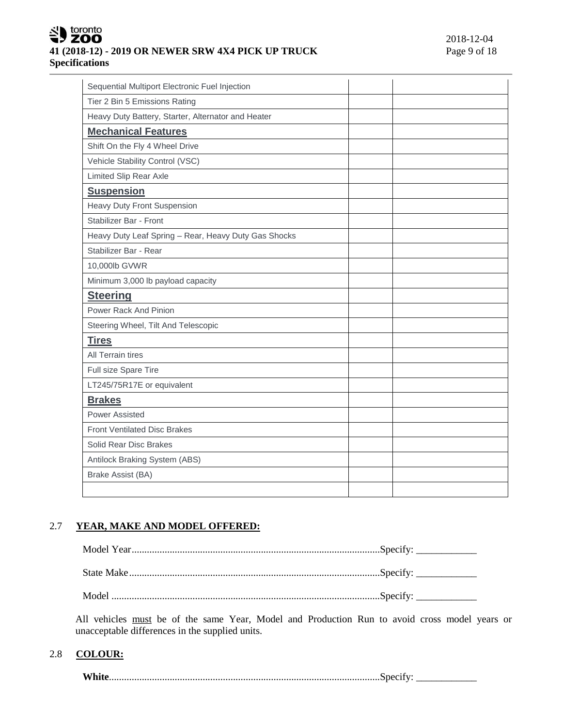# toronto **41 (2018-12) - 2019 OR NEWER SRW 4X4 PICK UP TRUCK** Page 9 of 18 **Specifications**

| Sequential Multiport Electronic Fuel Injection       |  |
|------------------------------------------------------|--|
| Tier 2 Bin 5 Emissions Rating                        |  |
| Heavy Duty Battery, Starter, Alternator and Heater   |  |
| <b>Mechanical Features</b>                           |  |
| Shift On the Fly 4 Wheel Drive                       |  |
| Vehicle Stability Control (VSC)                      |  |
| Limited Slip Rear Axle                               |  |
| <b>Suspension</b>                                    |  |
| <b>Heavy Duty Front Suspension</b>                   |  |
| Stabilizer Bar - Front                               |  |
| Heavy Duty Leaf Spring - Rear, Heavy Duty Gas Shocks |  |
| Stabilizer Bar - Rear                                |  |
| 10,000lb GVWR                                        |  |
| Minimum 3,000 lb payload capacity                    |  |
| <b>Steering</b>                                      |  |
| Power Rack And Pinion                                |  |
| Steering Wheel, Tilt And Telescopic                  |  |
| <b>Tires</b>                                         |  |
| All Terrain tires                                    |  |
| Full size Spare Tire                                 |  |
| LT245/75R17E or equivalent                           |  |
| <b>Brakes</b>                                        |  |
| Power Assisted                                       |  |
| <b>Front Ventilated Disc Brakes</b>                  |  |
| Solid Rear Disc Brakes                               |  |
| Antilock Braking System (ABS)                        |  |
| Brake Assist (BA)                                    |  |
|                                                      |  |

# 2.7 **YEAR, MAKE AND MODEL OFFERED:**

All vehicles must be of the same Year, Model and Production Run to avoid cross model years or unacceptable differences in the supplied units.

## 2.8 **COLOUR:**

**White**...........................................................................................................Specify: \_\_\_\_\_\_\_\_\_\_\_\_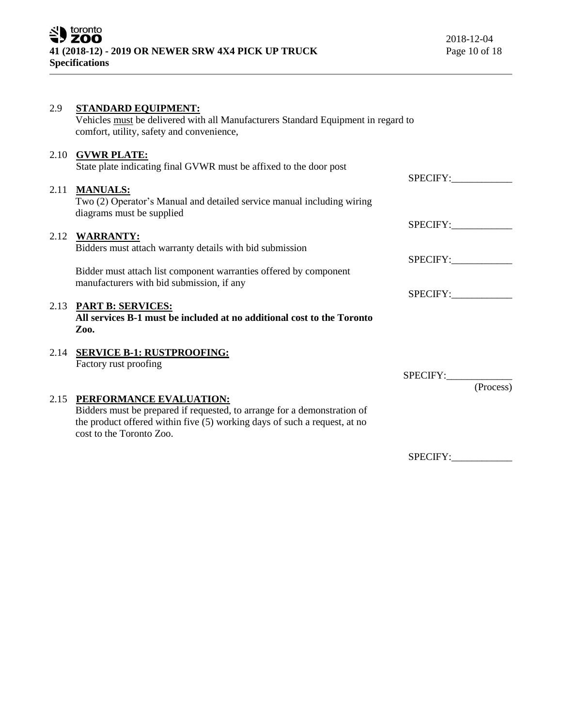| 2.9  | <b>STANDARD EQUIPMENT:</b><br>Vehicles must be delivered with all Manufacturers Standard Equipment in regard to<br>comfort, utility, safety and convenience,                                                      |          |           |
|------|-------------------------------------------------------------------------------------------------------------------------------------------------------------------------------------------------------------------|----------|-----------|
|      | 2.10 GVWR PLATE:<br>State plate indicating final GVWR must be affixed to the door post                                                                                                                            | SPECIFY: |           |
| 2.11 | <b>MANUALS:</b><br>Two (2) Operator's Manual and detailed service manual including wiring<br>diagrams must be supplied                                                                                            |          |           |
|      |                                                                                                                                                                                                                   | SPECIFY: |           |
|      | 2.12 WARRANTY:<br>Bidders must attach warranty details with bid submission                                                                                                                                        |          |           |
|      |                                                                                                                                                                                                                   | SPECIFY: |           |
|      | Bidder must attach list component warranties offered by component<br>manufacturers with bid submission, if any                                                                                                    |          |           |
|      |                                                                                                                                                                                                                   | SPECIFY: |           |
|      | 2.13 PART B: SERVICES:<br>All services B-1 must be included at no additional cost to the Toronto<br>Zoo.                                                                                                          |          |           |
|      | 2.14 SERVICE B-1: RUSTPROOFING:<br>Factory rust proofing                                                                                                                                                          |          |           |
|      |                                                                                                                                                                                                                   | SPECIFY: |           |
|      |                                                                                                                                                                                                                   |          | (Process) |
|      | 2.15 PERFORMANCE EVALUATION:<br>Bidders must be prepared if requested, to arrange for a demonstration of<br>the product offered within five (5) working days of such a request, at no<br>cost to the Toronto Zoo. |          |           |
|      |                                                                                                                                                                                                                   | SPECIFY: |           |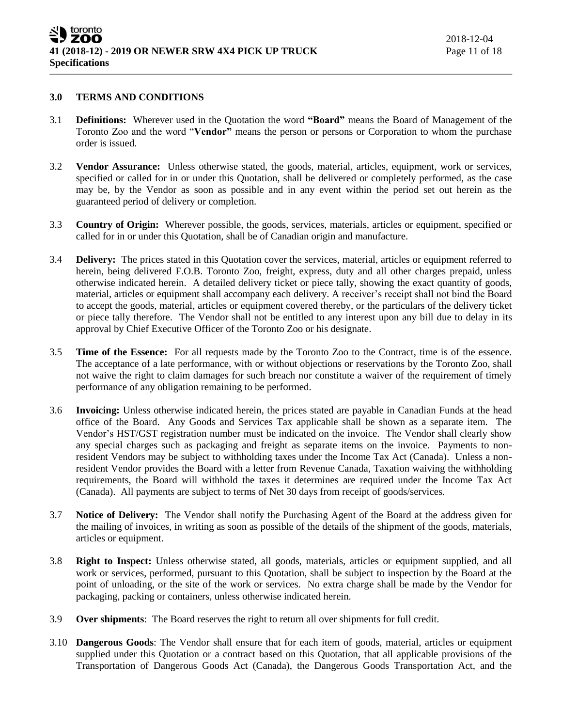#### **3.0 TERMS AND CONDITIONS**

- 3.1 **Definitions:** Wherever used in the Quotation the word **"Board"** means the Board of Management of the Toronto Zoo and the word "**Vendor"** means the person or persons or Corporation to whom the purchase order is issued.
- 3.2 **Vendor Assurance:** Unless otherwise stated, the goods, material, articles, equipment, work or services, specified or called for in or under this Quotation, shall be delivered or completely performed, as the case may be, by the Vendor as soon as possible and in any event within the period set out herein as the guaranteed period of delivery or completion.
- 3.3 **Country of Origin:** Wherever possible, the goods, services, materials, articles or equipment, specified or called for in or under this Quotation, shall be of Canadian origin and manufacture.
- 3.4 **Delivery:** The prices stated in this Quotation cover the services, material, articles or equipment referred to herein, being delivered F.O.B. Toronto Zoo, freight, express, duty and all other charges prepaid, unless otherwise indicated herein. A detailed delivery ticket or piece tally, showing the exact quantity of goods, material, articles or equipment shall accompany each delivery. A receiver's receipt shall not bind the Board to accept the goods, material, articles or equipment covered thereby, or the particulars of the delivery ticket or piece tally therefore. The Vendor shall not be entitled to any interest upon any bill due to delay in its approval by Chief Executive Officer of the Toronto Zoo or his designate.
- 3.5 **Time of the Essence:** For all requests made by the Toronto Zoo to the Contract, time is of the essence. The acceptance of a late performance, with or without objections or reservations by the Toronto Zoo, shall not waive the right to claim damages for such breach nor constitute a waiver of the requirement of timely performance of any obligation remaining to be performed.
- 3.6 **Invoicing:** Unless otherwise indicated herein, the prices stated are payable in Canadian Funds at the head office of the Board. Any Goods and Services Tax applicable shall be shown as a separate item. The Vendor's HST/GST registration number must be indicated on the invoice. The Vendor shall clearly show any special charges such as packaging and freight as separate items on the invoice. Payments to nonresident Vendors may be subject to withholding taxes under the Income Tax Act (Canada). Unless a nonresident Vendor provides the Board with a letter from Revenue Canada, Taxation waiving the withholding requirements, the Board will withhold the taxes it determines are required under the Income Tax Act (Canada). All payments are subject to terms of Net 30 days from receipt of goods/services.
- 3.7 **Notice of Delivery:** The Vendor shall notify the Purchasing Agent of the Board at the address given for the mailing of invoices, in writing as soon as possible of the details of the shipment of the goods, materials, articles or equipment.
- 3.8 **Right to Inspect:** Unless otherwise stated, all goods, materials, articles or equipment supplied, and all work or services, performed, pursuant to this Quotation, shall be subject to inspection by the Board at the point of unloading, or the site of the work or services. No extra charge shall be made by the Vendor for packaging, packing or containers, unless otherwise indicated herein.
- 3.9 **Over shipments**: The Board reserves the right to return all over shipments for full credit.
- 3.10 **Dangerous Goods**: The Vendor shall ensure that for each item of goods, material, articles or equipment supplied under this Quotation or a contract based on this Quotation, that all applicable provisions of the Transportation of Dangerous Goods Act (Canada), the Dangerous Goods Transportation Act, and the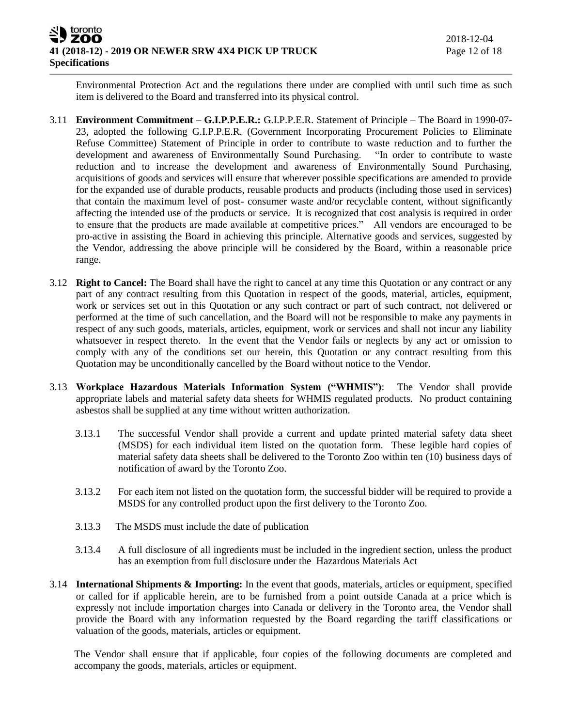Environmental Protection Act and the regulations there under are complied with until such time as such item is delivered to the Board and transferred into its physical control.

- 3.11 **Environment Commitment – G.I.P.P.E.R.:** G.I.P.P.E.R. Statement of Principle The Board in 1990-07- 23, adopted the following G.I.P.P.E.R. (Government Incorporating Procurement Policies to Eliminate Refuse Committee) Statement of Principle in order to contribute to waste reduction and to further the development and awareness of Environmentally Sound Purchasing. "In order to contribute to waste reduction and to increase the development and awareness of Environmentally Sound Purchasing, acquisitions of goods and services will ensure that wherever possible specifications are amended to provide for the expanded use of durable products, reusable products and products (including those used in services) that contain the maximum level of post- consumer waste and/or recyclable content, without significantly affecting the intended use of the products or service. It is recognized that cost analysis is required in order to ensure that the products are made available at competitive prices." All vendors are encouraged to be pro-active in assisting the Board in achieving this principle. Alternative goods and services, suggested by the Vendor, addressing the above principle will be considered by the Board, within a reasonable price range.
- 3.12 **Right to Cancel:** The Board shall have the right to cancel at any time this Quotation or any contract or any part of any contract resulting from this Quotation in respect of the goods, material, articles, equipment, work or services set out in this Quotation or any such contract or part of such contract, not delivered or performed at the time of such cancellation, and the Board will not be responsible to make any payments in respect of any such goods, materials, articles, equipment, work or services and shall not incur any liability whatsoever in respect thereto. In the event that the Vendor fails or neglects by any act or omission to comply with any of the conditions set our herein, this Quotation or any contract resulting from this Quotation may be unconditionally cancelled by the Board without notice to the Vendor.
- 3.13 **Workplace Hazardous Materials Information System ("WHMIS")**: The Vendor shall provide appropriate labels and material safety data sheets for WHMIS regulated products. No product containing asbestos shall be supplied at any time without written authorization.
	- 3.13.1 The successful Vendor shall provide a current and update printed material safety data sheet (MSDS) for each individual item listed on the quotation form. These legible hard copies of material safety data sheets shall be delivered to the Toronto Zoo within ten (10) business days of notification of award by the Toronto Zoo.
	- 3.13.2 For each item not listed on the quotation form, the successful bidder will be required to provide a MSDS for any controlled product upon the first delivery to the Toronto Zoo.
	- 3.13.3 The MSDS must include the date of publication
	- 3.13.4 A full disclosure of all ingredients must be included in the ingredient section, unless the product has an exemption from full disclosure under the Hazardous Materials Act
- 3.14 **International Shipments & Importing:** In the event that goods, materials, articles or equipment, specified or called for if applicable herein, are to be furnished from a point outside Canada at a price which is expressly not include importation charges into Canada or delivery in the Toronto area, the Vendor shall provide the Board with any information requested by the Board regarding the tariff classifications or valuation of the goods, materials, articles or equipment.

The Vendor shall ensure that if applicable, four copies of the following documents are completed and accompany the goods, materials, articles or equipment.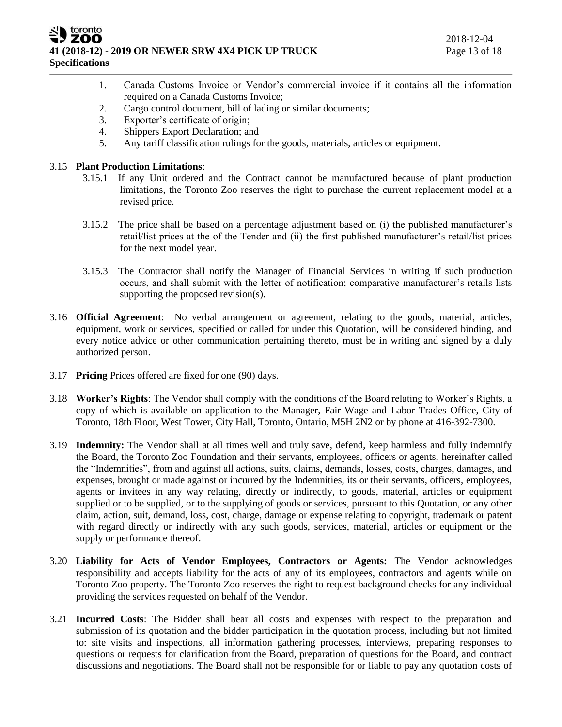ZOO **41 (2018-12) - 2019 OR NEWER SRW 4X4 PICK UP TRUCK** Page 13 of 18 **Specifications**

- 1. Canada Customs Invoice or Vendor's commercial invoice if it contains all the information required on a Canada Customs Invoice;
- 2. Cargo control document, bill of lading or similar documents;
- 3. Exporter's certificate of origin;
- 4. Shippers Export Declaration; and
- 5. Any tariff classification rulings for the goods, materials, articles or equipment.

### 3.15 **Plant Production Limitations**:

toronto

- 3.15.1 If any Unit ordered and the Contract cannot be manufactured because of plant production limitations, the Toronto Zoo reserves the right to purchase the current replacement model at a revised price.
- 3.15.2 The price shall be based on a percentage adjustment based on (i) the published manufacturer's retail/list prices at the of the Tender and (ii) the first published manufacturer's retail/list prices for the next model year.
- 3.15.3 The Contractor shall notify the Manager of Financial Services in writing if such production occurs, and shall submit with the letter of notification; comparative manufacturer's retails lists supporting the proposed revision(s).
- 3.16 **Official Agreement**: No verbal arrangement or agreement, relating to the goods, material, articles, equipment, work or services, specified or called for under this Quotation, will be considered binding, and every notice advice or other communication pertaining thereto, must be in writing and signed by a duly authorized person.
- 3.17 **Pricing** Prices offered are fixed for one (90) days.
- 3.18 **Worker's Rights**: The Vendor shall comply with the conditions of the Board relating to Worker's Rights, a copy of which is available on application to the Manager, Fair Wage and Labor Trades Office, City of Toronto, 18th Floor, West Tower, City Hall, Toronto, Ontario, M5H 2N2 or by phone at 416-392-7300.
- 3.19 **Indemnity:** The Vendor shall at all times well and truly save, defend, keep harmless and fully indemnify the Board, the Toronto Zoo Foundation and their servants, employees, officers or agents, hereinafter called the "Indemnities", from and against all actions, suits, claims, demands, losses, costs, charges, damages, and expenses, brought or made against or incurred by the Indemnities, its or their servants, officers, employees, agents or invitees in any way relating, directly or indirectly, to goods, material, articles or equipment supplied or to be supplied, or to the supplying of goods or services, pursuant to this Quotation, or any other claim, action, suit, demand, loss, cost, charge, damage or expense relating to copyright, trademark or patent with regard directly or indirectly with any such goods, services, material, articles or equipment or the supply or performance thereof.
- 3.20 **Liability for Acts of Vendor Employees, Contractors or Agents:** The Vendor acknowledges responsibility and accepts liability for the acts of any of its employees, contractors and agents while on Toronto Zoo property. The Toronto Zoo reserves the right to request background checks for any individual providing the services requested on behalf of the Vendor.
- 3.21 **Incurred Costs**: The Bidder shall bear all costs and expenses with respect to the preparation and submission of its quotation and the bidder participation in the quotation process, including but not limited to: site visits and inspections, all information gathering processes, interviews, preparing responses to questions or requests for clarification from the Board, preparation of questions for the Board, and contract discussions and negotiations. The Board shall not be responsible for or liable to pay any quotation costs of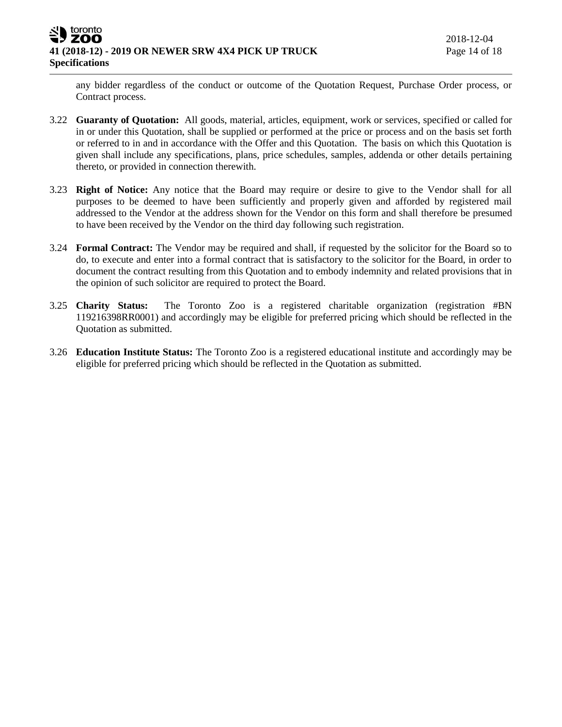any bidder regardless of the conduct or outcome of the Quotation Request, Purchase Order process, or Contract process.

- 3.22 **Guaranty of Quotation:** All goods, material, articles, equipment, work or services, specified or called for in or under this Quotation, shall be supplied or performed at the price or process and on the basis set forth or referred to in and in accordance with the Offer and this Quotation. The basis on which this Quotation is given shall include any specifications, plans, price schedules, samples, addenda or other details pertaining thereto, or provided in connection therewith.
- 3.23 **Right of Notice:** Any notice that the Board may require or desire to give to the Vendor shall for all purposes to be deemed to have been sufficiently and properly given and afforded by registered mail addressed to the Vendor at the address shown for the Vendor on this form and shall therefore be presumed to have been received by the Vendor on the third day following such registration.
- 3.24 **Formal Contract:** The Vendor may be required and shall, if requested by the solicitor for the Board so to do, to execute and enter into a formal contract that is satisfactory to the solicitor for the Board, in order to document the contract resulting from this Quotation and to embody indemnity and related provisions that in the opinion of such solicitor are required to protect the Board.
- 3.25 **Charity Status:** The Toronto Zoo is a registered charitable organization (registration #BN 119216398RR0001) and accordingly may be eligible for preferred pricing which should be reflected in the Quotation as submitted.
- 3.26 **Education Institute Status:** The Toronto Zoo is a registered educational institute and accordingly may be eligible for preferred pricing which should be reflected in the Quotation as submitted.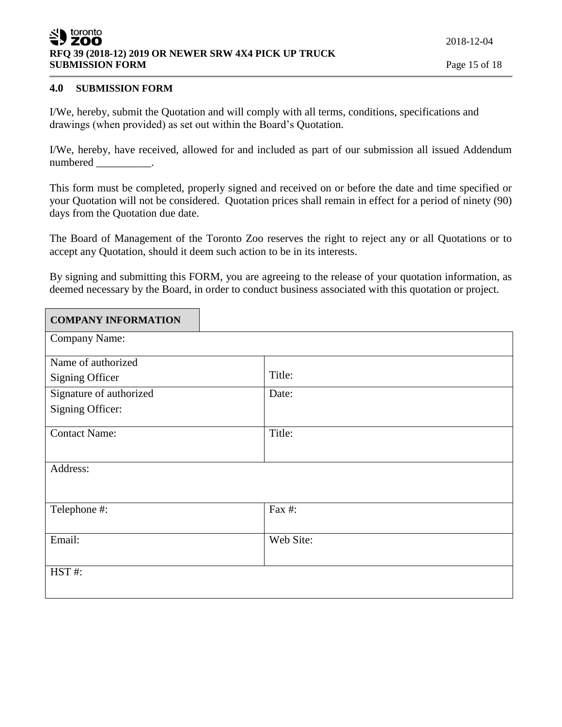#### toronto ZOO **RFQ 39 (2018-12) 2019 OR NEWER SRW 4X4 PICK UP TRUCK SUBMISSION FORM** Page 15 of 18

## **4.0 SUBMISSION FORM**

I/We, hereby, submit the Quotation and will comply with all terms, conditions, specifications and drawings (when provided) as set out within the Board's Quotation.

I/We, hereby, have received, allowed for and included as part of our submission all issued Addendum numbered \_\_\_\_\_\_\_\_\_\_.

This form must be completed, properly signed and received on or before the date and time specified or your Quotation will not be considered. Quotation prices shall remain in effect for a period of ninety (90) days from the Quotation due date.

The Board of Management of the Toronto Zoo reserves the right to reject any or all Quotations or to accept any Quotation, should it deem such action to be in its interests.

By signing and submitting this FORM, you are agreeing to the release of your quotation information, as deemed necessary by the Board, in order to conduct business associated with this quotation or project.

| <b>COMPANY INFORMATION</b> |           |
|----------------------------|-----------|
| Company Name:              |           |
| Name of authorized         |           |
| <b>Signing Officer</b>     | Title:    |
| Signature of authorized    | Date:     |
| Signing Officer:           |           |
| <b>Contact Name:</b>       | Title:    |
| Address:                   |           |
|                            |           |
| Telephone #:               | Fax #:    |
| Email:                     | Web Site: |
| HST#:                      |           |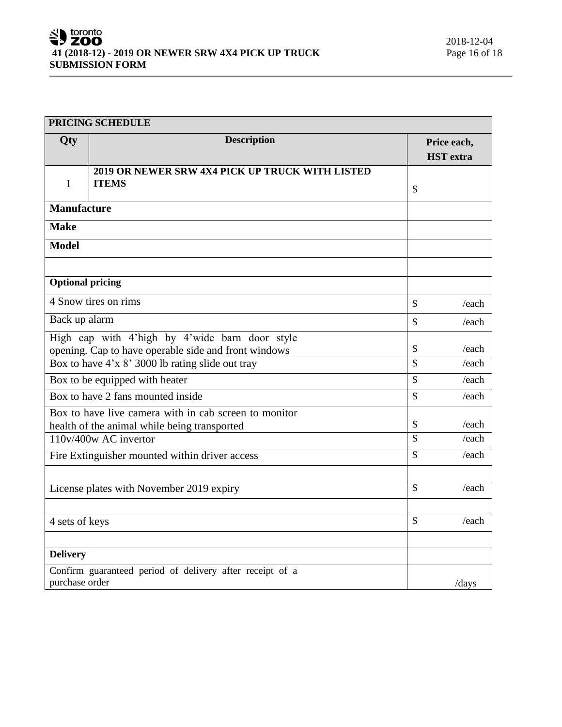| PRICING SCHEDULE                                                                                            |                                                                 |               |                                 |
|-------------------------------------------------------------------------------------------------------------|-----------------------------------------------------------------|---------------|---------------------------------|
| Qty                                                                                                         | <b>Description</b>                                              |               | Price each,<br><b>HST</b> extra |
| $\mathbf{1}$                                                                                                | 2019 OR NEWER SRW 4X4 PICK UP TRUCK WITH LISTED<br><b>ITEMS</b> | $\mathcal{S}$ |                                 |
| <b>Manufacture</b>                                                                                          |                                                                 |               |                                 |
| <b>Make</b>                                                                                                 |                                                                 |               |                                 |
| <b>Model</b>                                                                                                |                                                                 |               |                                 |
| <b>Optional pricing</b>                                                                                     |                                                                 |               |                                 |
|                                                                                                             | 4 Snow tires on rims                                            | $\mathcal{S}$ | /each                           |
| Back up alarm                                                                                               |                                                                 | $\mathcal{S}$ | /each                           |
| High cap with 4'high by 4'wide barn door style<br>opening. Cap to have operable side and front windows      |                                                                 | \$            | /each                           |
| Box to have 4'x 8' 3000 lb rating slide out tray                                                            |                                                                 | \$            | /each                           |
| $\mathcal{S}$<br>Box to be equipped with heater                                                             |                                                                 | /each         |                                 |
| Box to have 2 fans mounted inside<br>$\mathcal{S}$                                                          |                                                                 | /each         |                                 |
| Box to have live camera with in cab screen to monitor<br>\$<br>health of the animal while being transported |                                                                 | /each         |                                 |
| 110v/400w AC invertor                                                                                       |                                                                 | \$            | /each                           |
|                                                                                                             | Fire Extinguisher mounted within driver access                  | $\mathcal{S}$ | /each                           |
|                                                                                                             | License plates with November 2019 expiry                        | $\mathcal{S}$ | /each                           |
| 4 sets of keys                                                                                              |                                                                 | $\mathcal{S}$ | /each                           |
| <b>Delivery</b>                                                                                             |                                                                 |               |                                 |
| purchase order                                                                                              | Confirm guaranteed period of delivery after receipt of a        |               | /days                           |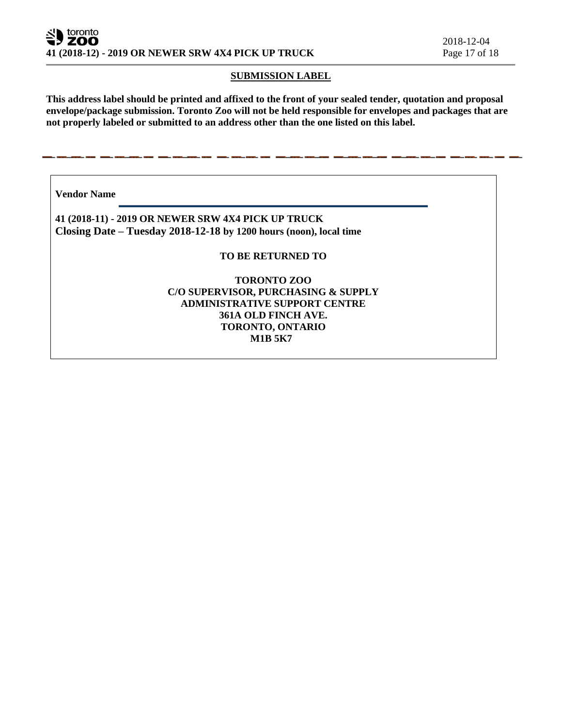### **SUBMISSION LABEL**

**This address label should be printed and affixed to the front of your sealed tender, quotation and proposal envelope/package submission. Toronto Zoo will not be held responsible for envelopes and packages that are not properly labeled or submitted to an address other than the one listed on this label.**

**Vendor Name** 

**41 (2018-11) - 2019 OR NEWER SRW 4X4 PICK UP TRUCK Closing Date – Tuesday 2018-12-18 by 1200 hours (noon), local time**

### **TO BE RETURNED TO**

### **TORONTO ZOO C/O SUPERVISOR, PURCHASING & SUPPLY ADMINISTRATIVE SUPPORT CENTRE 361A OLD FINCH AVE. TORONTO, ONTARIO M1B 5K7**